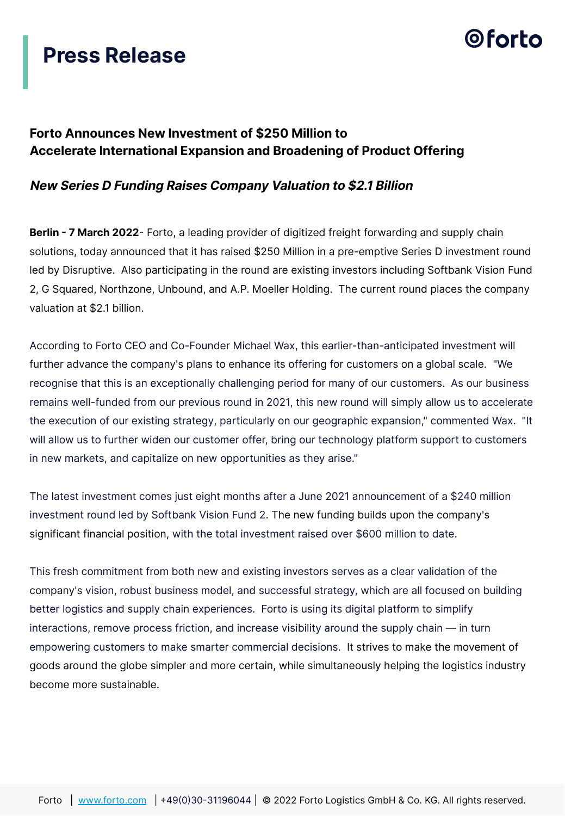### **Press Release**

## 0 forto

#### **Forto Announces New Investment of \$250 Million to Accelerate International Expansion and Broadening of Product Offering**

#### **New Series D Funding Raises Company Valuation to \$2.1 Billion**

**Berlin - 7 March 2022**- Forto, a leading provider of digitized freight forwarding and supply chain solutions, today announced that it has raised \$250 Million in a pre-emptive Series D investment round led by Disruptive. Also participating in the round are existing investors including Softbank Vision Fund 2, G Squared, Northzone, Unbound, and A.P. Moeller Holding. The current round places the company valuation at \$2.1 billion.

According to Forto CEO and Co-Founder Michael Wax, this earlier-than-anticipated investment will further advance the company's plans to enhance its offering for customers on a global scale. "We recognise that this is an exceptionally challenging period for many of our customers. As our business remains well-funded from our previous round in 2021, this new round will simply allow us to accelerate the execution of our existing strategy, particularly on our geographic expansion," commented Wax. "It will allow us to further widen our customer offer, bring our technology platform support to customers in new markets, and capitalize on new opportunities as they arise."

The latest investment comes just eight months after a June 2021 announcement of a \$240 million investment round led by Softbank Vision Fund 2. The new funding builds upon the company's significant financial position, with the total investment raised over \$600 million to date.

This fresh commitment from both new and existing investors serves as a clear validation of the company's vision, robust business model, and successful strategy, which are all focused on building better logistics and supply chain experiences. Forto is using its digital platform to simplify interactions, remove process friction, and increase visibility around the supply chain — in turn empowering customers to make smarter commercial decisions. It strives to make the movement of goods around the globe simpler and more certain, while simultaneously helping the logistics industry become more sustainable.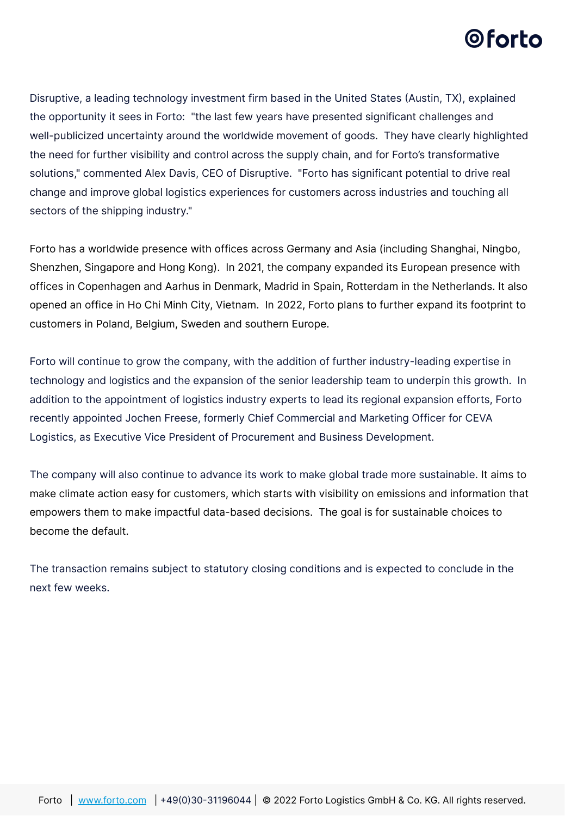## 0 forto

Disruptive, a leading technology investment firm based in the United States (Austin, TX), explained the opportunity it sees in Forto: "the last few years have presented significant challenges and well-publicized uncertainty around the worldwide movement of goods. They have clearly highlighted the need for further visibility and control across the supply chain, and for Forto's transformative solutions," commented Alex Davis, CEO of Disruptive. "Forto has significant potential to drive real change and improve global logistics experiences for customers across industries and touching all sectors of the shipping industry."

Forto has a worldwide presence with offices across Germany and Asia (including Shanghai, Ningbo, Shenzhen, Singapore and Hong Kong). In 2021, the company expanded its European presence with offices in Copenhagen and Aarhus in Denmark, Madrid in Spain, Rotterdam in the Netherlands. It also opened an office in Ho Chi Minh City, Vietnam. In 2022, Forto plans to further expand its footprint to customers in Poland, Belgium, Sweden and southern Europe.

Forto will continue to grow the company, with the addition of further industry-leading expertise in technology and logistics and the expansion of the senior leadership team to underpin this growth. In addition to the appointment of logistics industry experts to lead its regional expansion efforts, Forto recently appointed Jochen Freese, formerly Chief Commercial and Marketing Officer for CEVA Logistics, as Executive Vice President of Procurement and Business Development.

The company will also continue to advance its work to make global trade more sustainable. It aims to make climate action easy for customers, which starts with visibility on emissions and information that empowers them to make impactful data-based decisions. The goal is for sustainable choices to become the default.

The transaction remains subject to statutory closing conditions and is expected to conclude in the next few weeks.